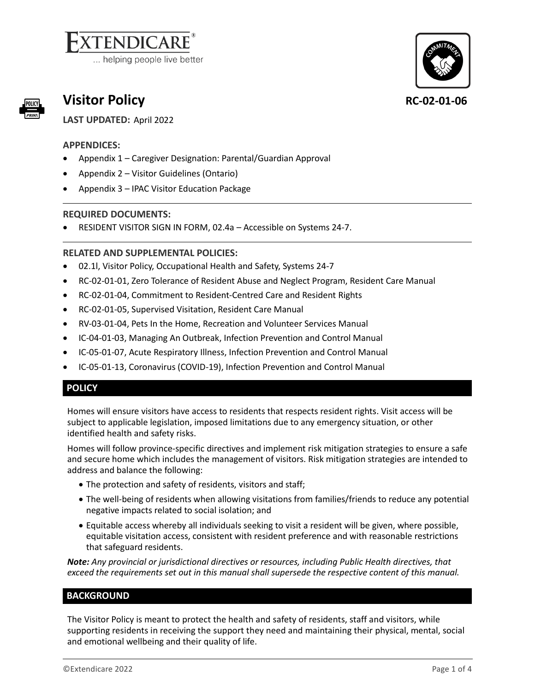# **ENDICARE**

... helping people live better



# **Visitor Policy RC-02-01-06**

**LAST UPDATED:** April 2022

# *5B***APPENDICES:**

- Appendix 1 Caregiver Designation: Parental/Guardian Approval
- Appendix 2 Visitor Guidelines (Ontario)
- Appendix 3 IPAC Visitor Education Package

# **REQUIRED DOCUMENTS:**

• [RESIDENT VISITOR SIGN IN FORM,](https://www.ext24-7.ca/User/GlobalSearchOpenItem.aspx?featureTypeID=1&featureID=11&itemID=57590&subItemID=0) 02.4a – Accessible on Systems 24-7.

# **RELATED AND SUPPLEMENTAL POLICIES:**

- [02.1l, Visitor Policy, Occupational Health and Safety, Systems 24-7](https://www.ext24-7.ca/User/GlobalSearchOpenItem.aspx?featureTypeID=1&featureID=10&itemID=58533&subItemID=0)
- RC-02-01-01, Zero Tolerance of Resident Abuse and Neglect Program, Resident Care Manual
- RC-02-01-04, Commitment to Resident-Centred Care and Resident Rights
- RC-02-01-05, Supervised Visitation, Resident Care Manual
- RV-03-01-04, Pets In the Home, Recreation and Volunteer Services Manual
- IC-04-01-03, Managing An Outbreak, Infection Prevention and Control Manual
- IC-05-01-07, Acute Respiratory Illness, Infection Prevention and Control Manual
- IC-05-01-13, Coronavirus (COVID-19), Infection Prevention and Control Manual

# *51B***POLICY**

Homes will ensure visitors have access to residents that respects resident rights. Visit access will be subject to applicable legislation, imposed limitations due to any emergency situation, or other identified health and safety risks.

Homes will follow province-specific directives and implement risk mitigation strategies to ensure a safe and secure home which includes the management of visitors. Risk mitigation strategies are intended to address and balance the following:

- The protection and safety of residents, visitors and staff;
- The well-being of residents when allowing visitations from families/friends to reduce any potential negative impacts related to social isolation; and
- Equitable access whereby all individuals seeking to visit a resident will be given, where possible, equitable visitation access, consistent with resident preference and with reasonable restrictions that safeguard residents.

*Note: Any provincial or jurisdictional directives or resources, including Public Health directives, that exceed the requirements set out in this manual shall supersede the respective content of this manual.*

### **BACKGROUND**

The Visitor Policy is meant to protect the health and safety of residents, staff and visitors, while supporting residents in receiving the support they need and maintaining their physical, mental, social and emotional wellbeing and their quality of life.